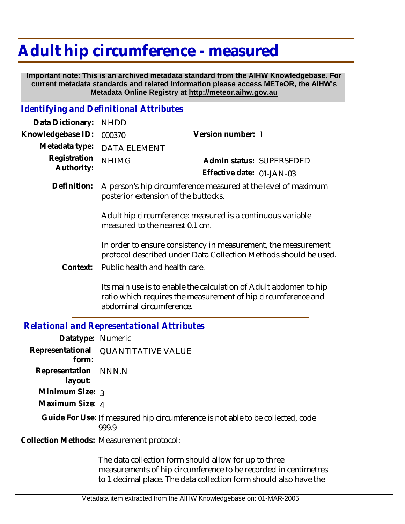# **Adult hip circumference - measured**

 **Important note: This is an archived metadata standard from the AIHW Knowledgebase. For current metadata standards and related information please access METeOR, the AIHW's Metadata Online Registry at http://meteor.aihw.gov.au**

### *Identifying and Definitional Attributes*

| Data Dictionary:           | <b>NHDD</b>                                                                                                                        |                                                                                                                                    |
|----------------------------|------------------------------------------------------------------------------------------------------------------------------------|------------------------------------------------------------------------------------------------------------------------------------|
| Knowledgebase ID:          | 000370                                                                                                                             | Version number: 1                                                                                                                  |
| Metadata type:             | <b>DATA ELEMENT</b>                                                                                                                |                                                                                                                                    |
| Registration<br>Authority: | <b>NHIMG</b>                                                                                                                       | Admin status: SUPERSEDED                                                                                                           |
|                            |                                                                                                                                    | Effective date: 01-JAN-03                                                                                                          |
| Definition:                | A person's hip circumference measured at the level of maximum<br>posterior extension of the buttocks.                              |                                                                                                                                    |
|                            | Adult hip circumference: measured is a continuous variable<br>measured to the nearest 0.1 cm.                                      |                                                                                                                                    |
|                            | In order to ensure consistency in measurement, the measurement<br>protocol described under Data Collection Methods should be used. |                                                                                                                                    |
| Context:                   | Public health and health care.                                                                                                     |                                                                                                                                    |
|                            |                                                                                                                                    | Its main use is to enable the calculation of Adult abdomen to hip<br>ratio which requires the measurement of hip circumference and |

## *Relational and Representational Attributes*

abdominal circumference.

| Datatype: Numeric               |                                                                                         |
|---------------------------------|-----------------------------------------------------------------------------------------|
| form:                           | Representational QUANTITATIVE VALUE                                                     |
| Representation NNN.N<br>layout: |                                                                                         |
| Minimum Size: $\frac{1}{3}$     |                                                                                         |
| Maximum Size: 4                 |                                                                                         |
|                                 | Guide For Use: If measured hip circumference is not able to be collected, code<br>999.9 |
|                                 | Collection Methods: Measurement protocol:                                               |
|                                 |                                                                                         |

The data collection form should allow for up to three measurements of hip circumference to be recorded in centimetres to 1 decimal place. The data collection form should also have the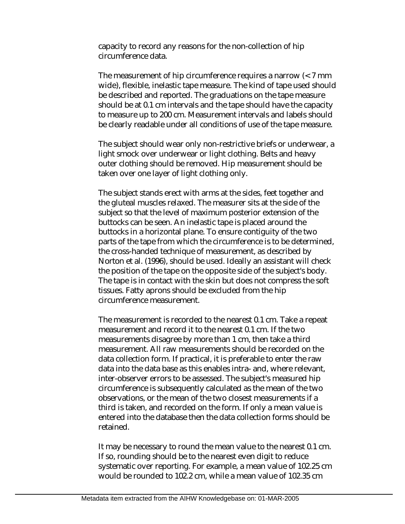capacity to record any reasons for the non-collection of hip circumference data.

The measurement of hip circumference requires a narrow (< 7 mm wide), flexible, inelastic tape measure. The kind of tape used should be described and reported. The graduations on the tape measure should be at 0.1 cm intervals and the tape should have the capacity to measure up to 200 cm. Measurement intervals and labels should be clearly readable under all conditions of use of the tape measure.

The subject should wear only non-restrictive briefs or underwear, a light smock over underwear or light clothing. Belts and heavy outer clothing should be removed. Hip measurement should be taken over one layer of light clothing only.

The subject stands erect with arms at the sides, feet together and the gluteal muscles relaxed. The measurer sits at the side of the subject so that the level of maximum posterior extension of the buttocks can be seen. An inelastic tape is placed around the buttocks in a horizontal plane. To ensure contiguity of the two parts of the tape from which the circumference is to be determined, the cross-handed technique of measurement, as described by Norton et al. (1996), should be used. Ideally an assistant will check the position of the tape on the opposite side of the subject's body. The tape is in contact with the skin but does not compress the soft tissues. Fatty aprons should be excluded from the hip circumference measurement.

The measurement is recorded to the nearest 0.1 cm. Take a repeat measurement and record it to the nearest 0.1 cm. If the two measurements disagree by more than 1 cm, then take a third measurement. All raw measurements should be recorded on the data collection form. If practical, it is preferable to enter the raw data into the data base as this enables intra- and, where relevant, inter-observer errors to be assessed. The subject's measured hip circumference is subsequently calculated as the mean of the two observations, or the mean of the two closest measurements if a third is taken, and recorded on the form. If only a mean value is entered into the database then the data collection forms should be retained.

It may be necessary to round the mean value to the nearest 0.1 cm. If so, rounding should be to the nearest even digit to reduce systematic over reporting. For example, a mean value of 102.25 cm would be rounded to 102.2 cm, while a mean value of 102.35 cm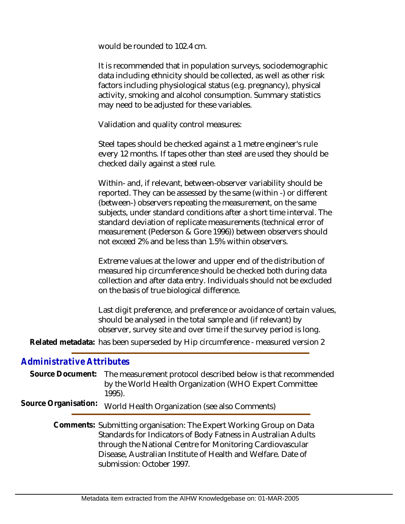would be rounded to 102.4 cm.

It is recommended that in population surveys, sociodemographic data including ethnicity should be collected, as well as other risk factors including physiological status (e.g. pregnancy), physical activity, smoking and alcohol consumption. Summary statistics may need to be adjusted for these variables.

Validation and quality control measures:

Steel tapes should be checked against a 1 metre engineer's rule every 12 months. If tapes other than steel are used they should be checked daily against a steel rule.

Within- and, if relevant, between-observer variability should be reported. They can be assessed by the same (within -) or different (between-) observers repeating the measurement, on the same subjects, under standard conditions after a short time interval. The standard deviation of replicate measurements (technical error of measurement (Pederson & Gore 1996)) between observers should not exceed 2% and be less than 1.5% within observers.

Extreme values at the lower and upper end of the distribution of measured hip circumference should be checked both during data collection and after data entry. Individuals should not be excluded on the basis of true biological difference.

Last digit preference, and preference or avoidance of certain values, should be analysed in the total sample and (if relevant) by observer, survey site and over time if the survey period is long.

Related metadata: has been superseded by Hip circumference - measured version 2

## *Administrative Attributes*

|                      | Source Document: The measurement protocol described below is that recommended<br>by the World Health Organization (WHO Expert Committee<br>1995).                                                                                                                                              |
|----------------------|------------------------------------------------------------------------------------------------------------------------------------------------------------------------------------------------------------------------------------------------------------------------------------------------|
| Source Organisation: | World Health Organization (see also Comments)                                                                                                                                                                                                                                                  |
|                      | Comments: Submitting organisation: The Expert Working Group on Data<br>Standards for Indicators of Body Fatness in Australian Adults<br>through the National Centre for Monitoring Cardiovascular<br>Disease, Australian Institute of Health and Welfare. Date of<br>submission: October 1997. |